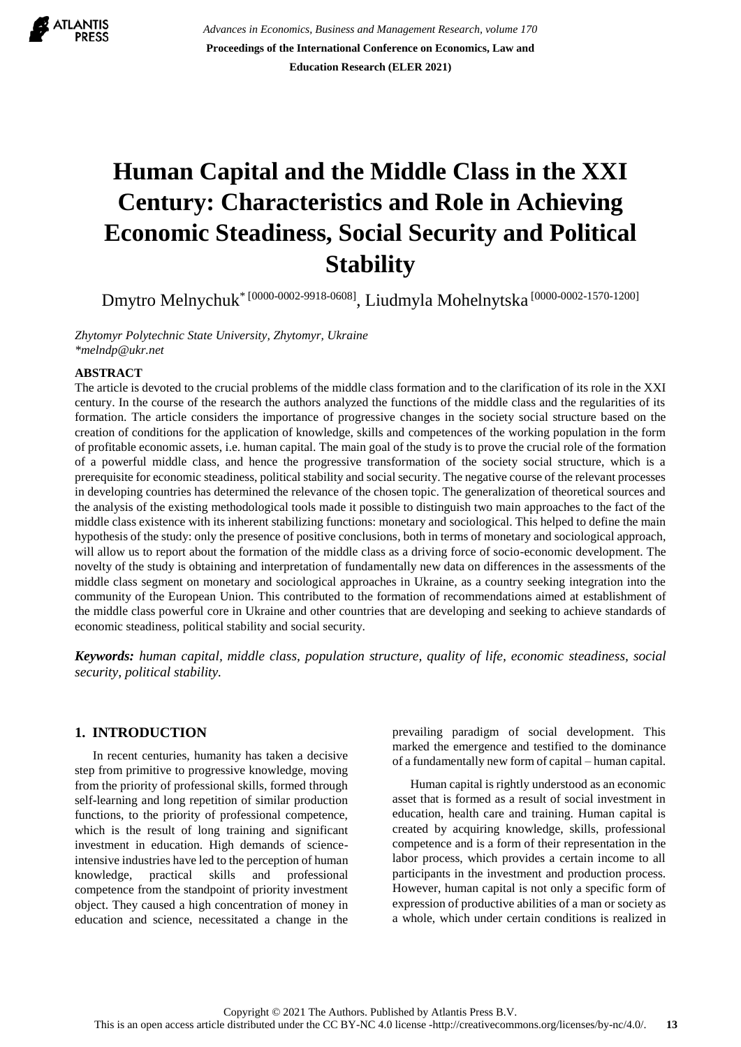

*Advances in Economics, Business and Management Research, volume 170* **Proceedings of the International Conference on Economics, Law and Education Research (ELER 2021)**

# **Human Capital and the Middle Class in the XXI Century: Characteristics and Role in Achieving Economic Steadiness, Social Security and Political Stability**

Dmytro Melnychuk\* [0000-0002-9918-0608] , Liudmyla Mohelnytska [0000-0002-1570-1200]

*Zhytomyr [Polytechnic](https://ztu.edu.ua/ua/study/zstu-info-en.php) State University, Zhytomyr, Ukraine [\\*melndp@ukr.net](mailto:melndp@ukr.net)*

#### **ABSTRACT**

The article is devoted to the crucial problems of the middle class formation and to the clarification of its role in the XXI century. In the course of the research the authors analyzed the functions of the middle class and the regularities of its formation. The article considers the importance of progressive changes in the society social structure based on the creation of conditions for the application of knowledge, skills and competences of the working population in the form of profitable economic assets, i.e. human capital. The main goal of the study is to prove the crucial role of the formation of a powerful middle class, and hence the progressive transformation of the society social structure, which is a prerequisite for economic steadiness, political stability and social security. The negative course of the relevant processes in developing countries has determined the relevance of the chosen topic. The generalization of theoretical sources and the analysis of the existing methodological tools made it possible to distinguish two main approaches to the fact of the middle class existence with its inherent stabilizing functions: monetary and sociological. This helped to define the main hypothesis of the study: only the presence of positive conclusions, both in terms of monetary and sociological approach, will allow us to report about the formation of the middle class as a driving force of socio-economic development. The novelty of the study is obtaining and interpretation of fundamentally new data on differences in the assessments of the middle class segment on monetary and sociological approaches in Ukraine, as a country seeking integration into the community of the European Union. This contributed to the formation of recommendations aimed at establishment of the middle class powerful core in Ukraine and other countries that are developing and seeking to achieve standards of economic steadiness, political stability and social security.

*Keywords: human capital, middle class, population structure, quality of life, economic steadiness, social security, political stability.*

#### **1. INTRODUCTION**

In recent centuries, humanity has taken a decisive step from primitive to progressive knowledge, moving from the priority of professional skills, formed through self-learning and long repetition of similar production functions, to the priority of professional competence, which is the result of long training and significant investment in education. High demands of scienceintensive industries have led to the perception of human knowledge, practical skills and professional competence from the standpoint of priority investment object. They caused a high concentration of money in education and science, necessitated a change in the

prevailing paradigm of social development. This marked the emergence and testified to the dominance of a fundamentally new form of capital – human capital.

Human capital is rightly understood as an economic asset that is formed as a result of social investment in education, health care and training. Human capital is created by acquiring knowledge, skills, professional competence and is a form of their representation in the labor process, which provides a certain income to all participants in the investment and production process. However, human capital is not only a specific form of expression of productive abilities of a man or society as a whole, which under certain conditions is realized in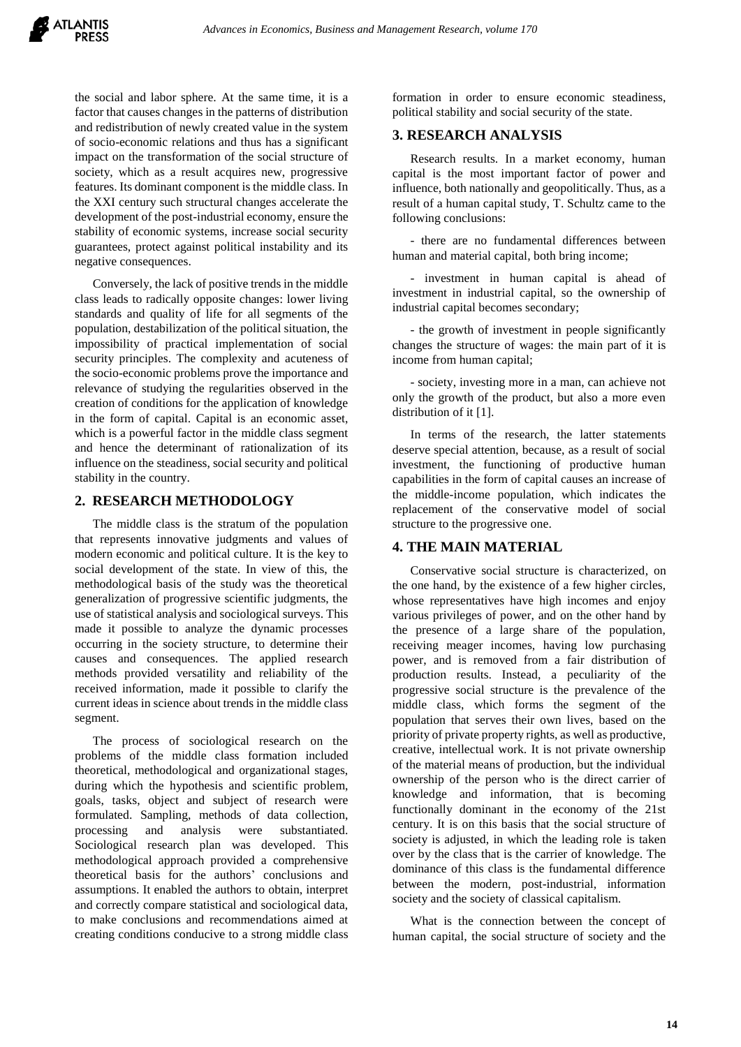the social and labor sphere. At the same time, it is a factor that causes changes in the patterns of distribution and redistribution of newly created value in the system of socio-economic relations and thus has a significant impact on the transformation of the social structure of society, which as a result acquires new, progressive features. Its dominant component is the middle class. In the XXI century such structural changes accelerate the development of the post-industrial economy, ensure the stability of economic systems, increase social security guarantees, protect against political instability and its negative consequences.

Conversely, the lack of positive trends in the middle class leads to radically opposite changes: lower living standards and quality of life for all segments of the population, destabilization of the political situation, the impossibility of practical implementation of social security principles. The complexity and acuteness of the socio-economic problems prove the importance and relevance of studying the regularities observed in the creation of conditions for the application of knowledge in the form of capital. Capital is an economic asset, which is a powerful factor in the middle class segment and hence the determinant of rationalization of its influence on the steadiness, social security and political stability in the country.

## **2. RESEARCH METHODOLOGY**

The middle class is the stratum of the population that represents innovative judgments and values of modern economic and political culture. It is the key to social development of the state. In view of this, the methodological basis of the study was the theoretical generalization of progressive scientific judgments, the use of statistical analysis and sociological surveys. This made it possible to analyze the dynamic processes occurring in the society structure, to determine their causes and consequences. The applied research methods provided versatility and reliability of the received information, made it possible to clarify the current ideas in science about trends in the middle class segment.

The process of sociological research on the problems of the middle class formation included theoretical, methodological and organizational stages, during which the hypothesis and scientific problem, goals, tasks, object and subject of research were formulated. Sampling, methods of data collection, processing and analysis were substantiated. Sociological research plan was developed. This methodological approach provided a comprehensive theoretical basis for the authors' conclusions and assumptions. It enabled the authors to obtain, interpret and correctly compare statistical and sociological data, to make conclusions and recommendations aimed at creating conditions conducive to a strong middle class

formation in order to ensure economic steadiness, political stability and social security of the state.

#### **3. RESEARCH ANALYSIS**

Research results. In a market economy, human capital is the most important factor of power and influence, both nationally and geopolitically. Thus, as a result of a human capital study, T. Schultz came to the following conclusions:

- there are no fundamental differences between human and material capital, both bring income;

- investment in human capital is ahead of investment in industrial capital, so the ownership of industrial capital becomes secondary;

- the growth of investment in people significantly changes the structure of wages: the main part of it is income from human capital;

- society, investing more in a man, can achieve not only the growth of the product, but also a more even distribution of it [1].

In terms of the research, the latter statements deserve special attention, because, as a result of social investment, the functioning of productive human capabilities in the form of capital causes an increase of the middle-income population, which indicates the replacement of the conservative model of social structure to the progressive one.

## **4. THE MAIN MATERIAL**

Conservative social structure is characterized, on the one hand, by the existence of a few higher circles, whose representatives have high incomes and enjoy various privileges of power, and on the other hand by the presence of a large share of the population, receiving meager incomes, having low purchasing power, and is removed from a fair distribution of production results. Instead, a peculiarity of the progressive social structure is the prevalence of the middle class, which forms the segment of the population that serves their own lives, based on the priority of private property rights, as well as productive, creative, intellectual work. It is not private ownership of the material means of production, but the individual ownership of the person who is the direct carrier of knowledge and information, that is becoming functionally dominant in the economy of the 21st century. It is on this basis that the social structure of society is adjusted, in which the leading role is taken over by the class that is the carrier of knowledge. The dominance of this class is the fundamental difference between the modern, post-industrial, information society and the society of classical capitalism.

What is the connection between the concept of human capital, the social structure of society and the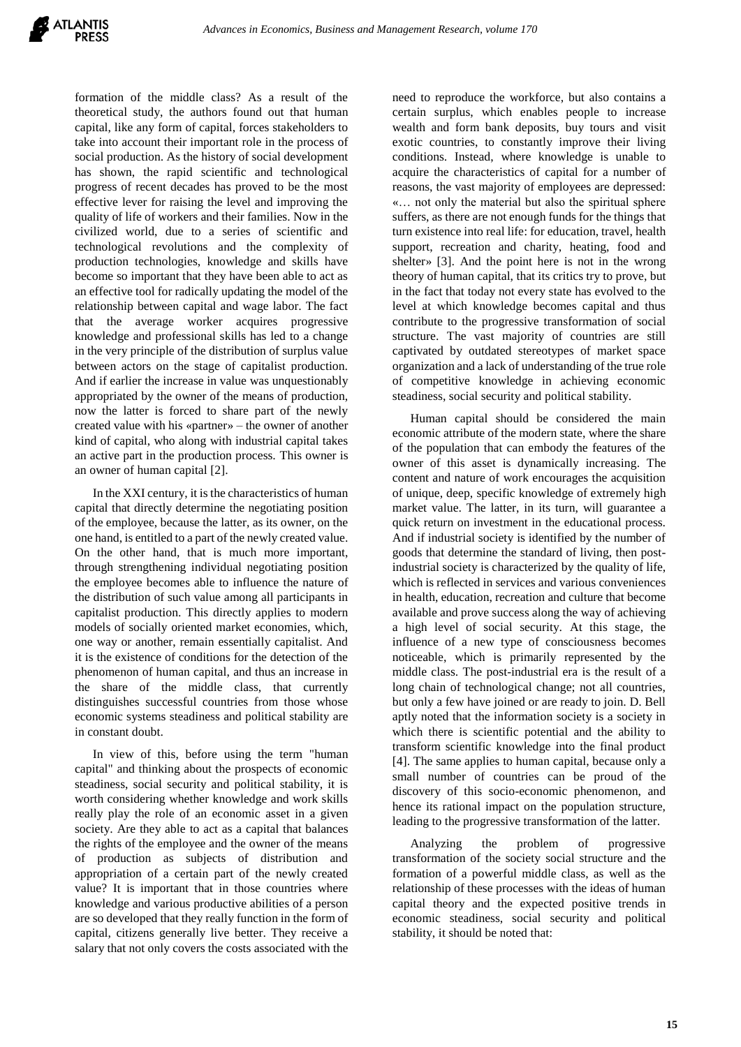formation of the middle class? As a result of the theoretical study, the authors found out that human capital, like any form of capital, forces stakeholders to take into account their important role in the process of social production. As the history of social development has shown, the rapid scientific and technological progress of recent decades has proved to be the most effective lever for raising the level and improving the quality of life of workers and their families. Now in the civilized world, due to a series of scientific and technological revolutions and the complexity of production technologies, knowledge and skills have become so important that they have been able to act as an effective tool for radically updating the model of the relationship between capital and wage labor. The fact that the average worker acquires progressive knowledge and professional skills has led to a change in the very principle of the distribution of surplus value between actors on the stage of capitalist production. And if earlier the increase in value was unquestionably appropriated by the owner of the means of production, now the latter is forced to share part of the newly created value with his «partner» – the owner of another kind of capital, who along with industrial capital takes an active part in the production process. This owner is an owner of human capital [2].

In the XXI century, it is the characteristics of human capital that directly determine the negotiating position of the employee, because the latter, as its owner, on the one hand, is entitled to a part of the newly created value. On the other hand, that is much more important, through strengthening individual negotiating position the employee becomes able to influence the nature of the distribution of such value among all participants in capitalist production. This directly applies to modern models of socially oriented market economies, which, one way or another, remain essentially capitalist. And it is the existence of conditions for the detection of the phenomenon of human capital, and thus an increase in the share of the middle class, that currently distinguishes successful countries from those whose economic systems steadiness and political stability are in constant doubt.

In view of this, before using the term "human capital" and thinking about the prospects of economic steadiness, social security and political stability, it is worth considering whether knowledge and work skills really play the role of an economic asset in a given society. Are they able to act as a capital that balances the rights of the employee and the owner of the means of production as subjects of distribution and appropriation of a certain part of the newly created value? It is important that in those countries where knowledge and various productive abilities of a person are so developed that they really function in the form of capital, citizens generally live better. They receive a salary that not only covers the costs associated with the

need to reproduce the workforce, but also contains a certain surplus, which enables people to increase wealth and form bank deposits, buy tours and visit exotic countries, to constantly improve their living conditions. Instead, where knowledge is unable to acquire the characteristics of capital for a number of reasons, the vast majority of employees are depressed: «… not only the material but also the spiritual sphere suffers, as there are not enough funds for the things that turn existence into real life: for education, travel, health support, recreation and charity, heating, food and shelter» [3]. And the point here is not in the wrong theory of human capital, that its critics try to prove, but in the fact that today not every state has evolved to the level at which knowledge becomes capital and thus contribute to the progressive transformation of social structure. The vast majority of countries are still captivated by outdated stereotypes of market space organization and a lack of understanding of the true role of competitive knowledge in achieving economic steadiness, social security and political stability.

Human capital should be considered the main economic attribute of the modern state, where the share of the population that can embody the features of the owner of this asset is dynamically increasing. The content and nature of work encourages the acquisition of unique, deep, specific knowledge of extremely high market value. The latter, in its turn, will guarantee a quick return on investment in the educational process. And if industrial society is identified by the number of goods that determine the standard of living, then postindustrial society is characterized by the quality of life, which is reflected in services and various conveniences in health, education, recreation and culture that become available and prove success along the way of achieving a high level of social security. At this stage, the influence of a new type of consciousness becomes noticeable, which is primarily represented by the middle class. The post-industrial era is the result of a long chain of technological change; not all countries, but only a few have joined or are ready to join. D. Bell aptly noted that the information society is a society in which there is scientific potential and the ability to transform scientific knowledge into the final product [4]. The same applies to human capital, because only a small number of countries can be proud of the discovery of this socio-economic phenomenon, and hence its rational impact on the population structure, leading to the progressive transformation of the latter.

Analyzing the problem of progressive transformation of the society social structure and the formation of a powerful middle class, as well as the relationship of these processes with the ideas of human capital theory and the expected positive trends in economic steadiness, social security and political stability, it should be noted that: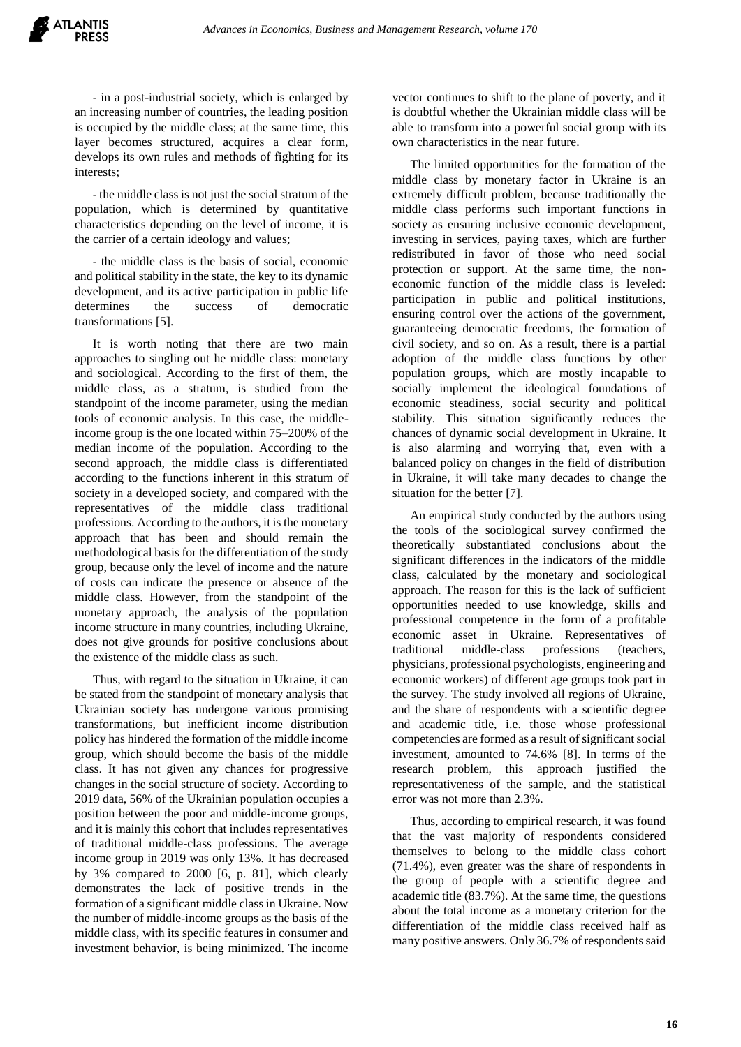

- in a post-industrial society, which is enlarged by an increasing number of countries, the leading position is occupied by the middle class; at the same time, this layer becomes structured, acquires a clear form, develops its own rules and methods of fighting for its interests;

- the middle class is not just the social stratum of the population, which is determined by quantitative characteristics depending on the level of income, it is the carrier of a certain ideology and values;

- the middle class is the basis of social, economic and political stability in the state, the key to its dynamic development, and its active participation in public life determines the success of democratic transformations [5].

It is worth noting that there are two main approaches to singling out he middle class: monetary and sociological. According to the first of them, the middle class, as a stratum, is studied from the standpoint of the income parameter, using the median tools of economic analysis. In this case, the middleincome group is the one located within 75–200% of the median income of the population. According to the second approach, the middle class is differentiated according to the functions inherent in this stratum of society in a developed society, and compared with the representatives of the middle class traditional professions. According to the authors, it is the monetary approach that has been and should remain the methodological basis for the differentiation of the study group, because only the level of income and the nature of costs can indicate the presence or absence of the middle class. However, from the standpoint of the monetary approach, the analysis of the population income structure in many countries, including Ukraine, does not give grounds for positive conclusions about the existence of the middle class as such.

Thus, with regard to the situation in Ukraine, it can be stated from the standpoint of monetary analysis that Ukrainian society has undergone various promising transformations, but inefficient income distribution policy has hindered the formation of the middle income group, which should become the basis of the middle class. It has not given any chances for progressive changes in the social structure of society. According to 2019 data, 56% of the Ukrainian population occupies a position between the poor and middle-income groups, and it is mainly this cohort that includes representatives of traditional middle-class professions. The average income group in 2019 was only 13%. It has decreased by 3% compared to 2000 [6, p. 81], which clearly demonstrates the lack of positive trends in the formation of a significant middle class in Ukraine. Now the number of middle-income groups as the basis of the middle class, with its specific features in consumer and investment behavior, is being minimized. The income vector continues to shift to the plane of poverty, and it is doubtful whether the Ukrainian middle class will be able to transform into a powerful social group with its own characteristics in the near future.

The limited opportunities for the formation of the middle class by monetary factor in Ukraine is an extremely difficult problem, because traditionally the middle class performs such important functions in society as ensuring inclusive economic development, investing in services, paying taxes, which are further redistributed in favor of those who need social protection or support. At the same time, the noneconomic function of the middle class is leveled: participation in public and political institutions, ensuring control over the actions of the government, guaranteeing democratic freedoms, the formation of civil society, and so on. As a result, there is a partial adoption of the middle class functions by other population groups, which are mostly incapable to socially implement the ideological foundations of economic steadiness, social security and political stability. This situation significantly reduces the chances of dynamic social development in Ukraine. It is also alarming and worrying that, even with a balanced policy on changes in the field of distribution in Ukraine, it will take many decades to change the situation for the better [7].

An empirical study conducted by the authors using the tools of the sociological survey confirmed the theoretically substantiated conclusions about the significant differences in the indicators of the middle class, calculated by the monetary and sociological approach. The reason for this is the lack of sufficient opportunities needed to use knowledge, skills and professional competence in the form of a profitable economic asset in Ukraine. Representatives of traditional middle-class professions (teachers, physicians, professional psychologists, engineering and economic workers) of different age groups took part in the survey. The study involved all regions of Ukraine, and the share of respondents with a scientific degree and academic title, i.e. those whose professional competencies are formed as a result of significant social investment, amounted to 74.6% [8]. In terms of the research problem, this approach justified the representativeness of the sample, and the statistical error was not more than 2.3%.

Thus, according to empirical research, it was found that the vast majority of respondents considered themselves to belong to the middle class cohort (71.4%), even greater was the share of respondents in the group of people with a scientific degree and academic title (83.7%). At the same time, the questions about the total income as a monetary criterion for the differentiation of the middle class received half as many positive answers. Only 36.7% of respondents said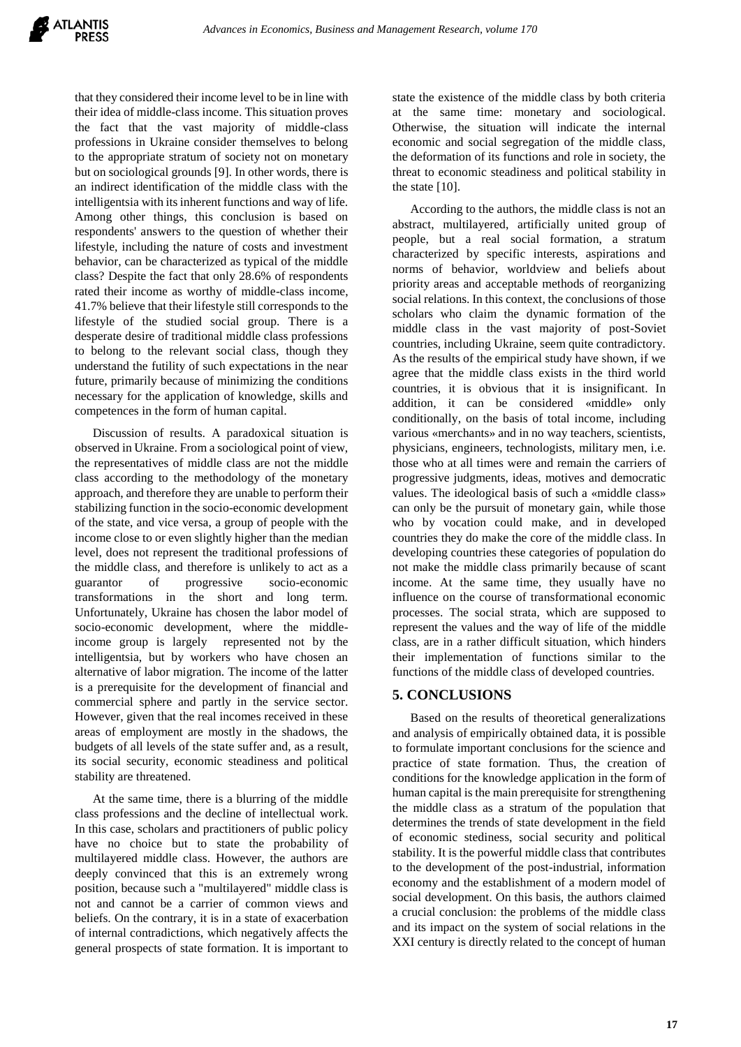that they considered their income level to be in line with their idea of middle-class income. This situation proves the fact that the vast majority of middle-class professions in Ukraine consider themselves to belong to the appropriate stratum of society not on monetary but on sociological grounds [9]. In other words, there is an indirect identification of the middle class with the intelligentsia with its inherent functions and way of life. Among other things, this conclusion is based on respondents' answers to the question of whether their lifestyle, including the nature of costs and investment behavior, can be characterized as typical of the middle class? Despite the fact that only 28.6% of respondents rated their income as worthy of middle-class income, 41.7% believe that their lifestyle still corresponds to the lifestyle of the studied social group. There is a desperate desire of traditional middle class professions to belong to the relevant social class, though they understand the futility of such expectations in the near future, primarily because of minimizing the conditions necessary for the application of knowledge, skills and competences in the form of human capital.

Discussion of results. A paradoxical situation is observed in Ukraine. From a sociological point of view, the representatives of middle class are not the middle class according to the methodology of the monetary approach, and therefore they are unable to perform their stabilizing function in the socio-economic development of the state, and vice versa, a group of people with the income close to or even slightly higher than the median level, does not represent the traditional professions of the middle class, and therefore is unlikely to act as a guarantor of progressive socio-economic transformations in the short and long term. Unfortunately, Ukraine has chosen the labor model of socio-economic development, where the middleincome group is largely represented not by the intelligentsia, but by workers who have chosen an alternative of labor migration. The income of the latter is a prerequisite for the development of financial and commercial sphere and partly in the service sector. However, given that the real incomes received in these areas of employment are mostly in the shadows, the budgets of all levels of the state suffer and, as a result, its social security, economic steadiness and political stability are threatened.

At the same time, there is a blurring of the middle class professions and the decline of intellectual work. In this case, scholars and practitioners of public policy have no choice but to state the probability of multilayered middle class. However, the authors are deeply convinced that this is an extremely wrong position, because such a "multilayered" middle class is not and cannot be a carrier of common views and beliefs. On the contrary, it is in a state of exacerbation of internal contradictions, which negatively affects the general prospects of state formation. It is important to state the existence of the middle class by both criteria at the same time: monetary and sociological. Otherwise, the situation will indicate the internal economic and social segregation of the middle class, the deformation of its functions and role in society, the threat to economic steadiness and political stability in the state [10].

According to the authors, the middle class is not an abstract, multilayered, artificially united group of people, but a real social formation, a stratum characterized by specific interests, aspirations and norms of behavior, worldview and beliefs about priority areas and acceptable methods of reorganizing social relations. In this context, the conclusions of those scholars who claim the dynamic formation of the middle class in the vast majority of post-Soviet countries, including Ukraine, seem quite contradictory. As the results of the empirical study have shown, if we agree that the middle class exists in the third world countries, it is obvious that it is insignificant. In addition, it can be considered «middle» only conditionally, on the basis of total income, including various «merchants» and in no way teachers, scientists, physicians, engineers, technologists, military men, i.e. those who at all times were and remain the carriers of progressive judgments, ideas, motives and democratic values. The ideological basis of such a «middle class» can only be the pursuit of monetary gain, while those who by vocation could make, and in developed countries they do make the core of the middle class. In developing countries these categories of population do not make the middle class primarily because of scant income. At the same time, they usually have no influence on the course of transformational economic processes. The social strata, which are supposed to represent the values and the way of life of the middle class, are in a rather difficult situation, which hinders their implementation of functions similar to the functions of the middle class of developed countries.

# **5. CONCLUSIONS**

Based on the results of theoretical generalizations and analysis of empirically obtained data, it is possible to formulate important conclusions for the science and practice of state formation. Thus, the creation of conditions for the knowledge application in the form of human capital is the main prerequisite for strengthening the middle class as a stratum of the population that determines the trends of state development in the field of economic stediness, social security and political stability. It is the powerful middle class that contributes to the development of the post-industrial, information economy and the establishment of a modern model of social development. On this basis, the authors claimed a crucial conclusion: the problems of the middle class and its impact on the system of social relations in the XXI century is directly related to the concept of human